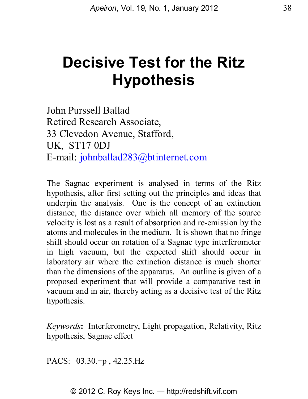# **Decisive Test for the Ritz Hypothesis**

John Purssell Ballad Retired Research Associate, 33 Clevedon Avenue, Stafford, UK, ST17 0DJ E-mail: johnballad283@btinternet.com

The Sagnac experiment is analysed in terms of the Ritz hypothesis, after first setting out the principles and ideas that underpin the analysis. One is the concept of an extinction distance, the distance over which all memory of the source velocity is lost as a result of absorption and re-emission by the atoms and molecules in the medium. It is shown that no fringe shift should occur on rotation of a Sagnac type interferometer in high vacuum, but the expected shift should occur in laboratory air where the extinction distance is much shorter than the dimensions of the apparatus. An outline is given of a proposed experiment that will provide a comparative test in vacuum and in air, thereby acting as a decisive test of the Ritz hypothesis.

*Keywords***:** Interferometry, Light propagation, Relativity, Ritz hypothesis, Sagnac effect

PACS: 03.30.+p , 42.25.Hz

© 2012 C. Roy Keys Inc. — http://redshift.vif.com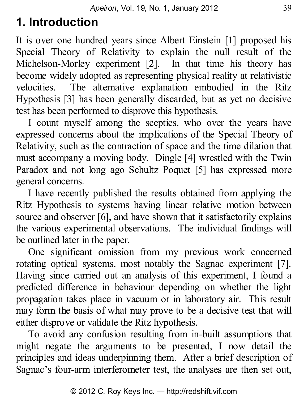# **1. Introduction**

It is over one hundred years since Albert Einstein [1] proposed his Special Theory of Relativity to explain the null result of the Michelson-Morley experiment [2]. In that time his theory has become widely adopted as representing physical reality at relativistic velocities. The alternative explanation embodied in the Ritz Hypothesis [3] has been generally discarded, but as yet no decisive test has been performed to disprove this hypothesis.

I count myself among the sceptics, who over the years have expressed concerns about the implications of the Special Theory of Relativity, such as the contraction of space and the time dilation that must accompany a moving body. Dingle [4] wrestled with the Twin Paradox and not long ago Schultz Poquet [5] has expressed more general concerns.

I have recently published the results obtained from applying the Ritz Hypothesis to systems having linear relative motion between source and observer [6], and have shown that it satisfactorily explains the various experimental observations. The individual findings will be outlined later in the paper.

One significant omission from my previous work concerned rotating optical systems, most notably the Sagnac experiment [7]. Having since carried out an analysis of this experiment, I found a predicted difference in behaviour depending on whether the light propagation takes place in vacuum or in laboratory air. This result may form the basis of what may prove to be a decisive test that will either disprove or validate the Ritz hypothesis.

To avoid any confusion resulting from in-built assumptions that might negate the arguments to be presented, I now detail the principles and ideas underpinning them. After a brief description of Sagnac's four-arm interferometer test, the analyses are then set out,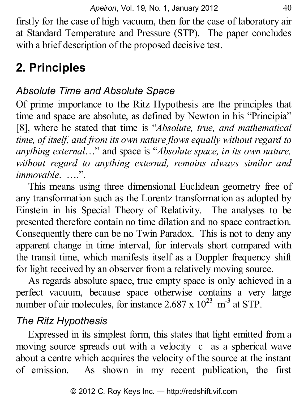firstly for the case of high vacuum, then for the case of laboratory air at Standard Temperature and Pressure (STP). The paper concludes with a brief description of the proposed decisive test.

# **2. Principles**

### *Absolute Time and Absolute Space*

Of prime importance to the Ritz Hypothesis are the principles that time and space are absolute, as defined by Newton in his "Principia" [8], where he stated that time is "*Absolute, true, and mathematical time, of itself, and from its own nature flows equally without regard to anything external*…" and space is "*Absolute space, in its own nature, without regard to anything external, remains always similar and immovable*. ….".

This means using three dimensional Euclidean geometry free of any transformation such as the Lorentz transformation as adopted by Einstein in his Special Theory of Relativity. The analyses to be presented therefore contain no time dilation and no space contraction. Consequently there can be no Twin Paradox. This is not to deny any apparent change in time interval, for intervals short compared with the transit time, which manifests itself as a Doppler frequency shift for light received by an observer from a relatively moving source.

As regards absolute space, true empty space is only achieved in a perfect vacuum, because space otherwise contains a very large number of air molecules, for instance  $2.687 \times 10^{23}$  m<sup>-3</sup> at STP.

### *The Ritz Hypothesis*

Expressed in its simplest form, this states that light emitted from a moving source spreads out with a velocity c as a spherical wave about a centre which acquires the velocity of the source at the instant of emission. As shown in my recent publication, the first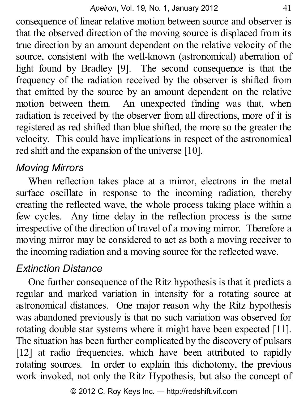consequence of linear relative motion between source and observer is that the observed direction of the moving source is displaced from its true direction by an amount dependent on the relative velocity of the source, consistent with the well-known (astronomical) aberration of light found by Bradley [9]. The second consequence is that the frequency of the radiation received by the observer is shifted from that emitted by the source by an amount dependent on the relative motion between them. An unexpected finding was that, when radiation is received by the observer from all directions, more of it is registered as red shifted than blue shifted, the more so the greater the velocity. This could have implications in respect of the astronomical red shift and the expansion of the universe [10].

### *Moving Mirrors*

When reflection takes place at a mirror, electrons in the metal surface oscillate in response to the incoming radiation, thereby creating the reflected wave, the whole process taking place within a few cycles. Any time delay in the reflection process is the same irrespective of the direction of travel of a moving mirror. Therefore a moving mirror may be considered to act as both a moving receiver to the incoming radiation and a moving source for the reflected wave.

### *Extinction Distance*

One further consequence of the Ritz hypothesis is that it predicts a regular and marked variation in intensity for a rotating source at astronomical distances. One major reason why the Ritz hypothesis was abandoned previously is that no such variation was observed for rotating double star systems where it might have been expected [11]. The situation has been further complicated by the discovery of pulsars [12] at radio frequencies, which have been attributed to rapidly rotating sources. In order to explain this dichotomy, the previous work invoked, not only the Ritz Hypothesis, but also the concept of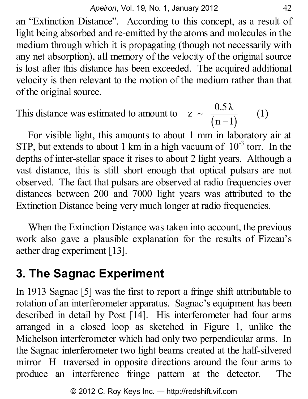an "Extinction Distance". According to this concept, as a result of light being absorbed and re-emitted by the atoms and molecules in the medium through which it is propagating (though not necessarily with any net absorption), all memory of the velocity of the original source is lost after this distance has been exceeded. The acquired additional velocity is then relevant to the motion of the medium rather than that of the original source.

 $(n-1)$  $0.5\lambda$  $z \sim$  $n - 1$ This distance was estimated to amount to  $z \sim \frac{0.5 \pi}{(1)}$  (1)

For visible light, this amounts to about 1 mm in laboratory air at STP, but extends to about 1 km in a high vacuum of  $10^{-3}$  torr. In the depths of inter-stellar space it rises to about 2 light years. Although a vast distance, this is still short enough that optical pulsars are not observed. The fact that pulsars are observed at radio frequencies over distances between 200 and 7000 light years was attributed to the Extinction Distance being very much longer at radio frequencies.

When the Extinction Distance was taken into account, the previous work also gave a plausible explanation for the results of Fizeau's aether drag experiment [13].

### **3. The Sagnac Experiment**

In 1913 Sagnac [5] was the first to report a fringe shift attributable to rotation of an interferometer apparatus. Sagnac's equipment has been described in detail by Post [14]. His interferometer had four arms arranged in a closed loop as sketched in Figure 1, unlike the Michelson interferometer which had only two perpendicular arms. In the Sagnac interferometer two light beams created at the half-silvered mirror H traversed in opposite directions around the four arms to produce an interference fringe pattern at the detector. The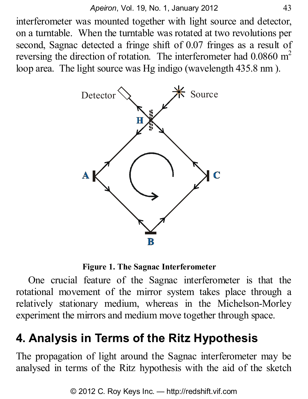interferometer was mounted together with light source and detector, on a turntable. When the turntable was rotated at two revolutions per second, Sagnac detected a fringe shift of 0.07 fringes as a result of reversing the direction of rotation. The interferometer had  $0.0860 \text{ m}^2$ loop area. The light source was Hg indigo (wavelength 435.8 nm ).



**Figure 1. The Sagnac Interferometer**

One crucial feature of the Sagnac interferometer is that the rotational movement of the mirror system takes place through a relatively stationary medium, whereas in the Michelson-Morley experiment the mirrors and medium move together through space.

# **4. Analysis in Terms of the Ritz Hypothesis**

The propagation of light around the Sagnac interferometer may be analysed in terms of the Ritz hypothesis with the aid of the sketch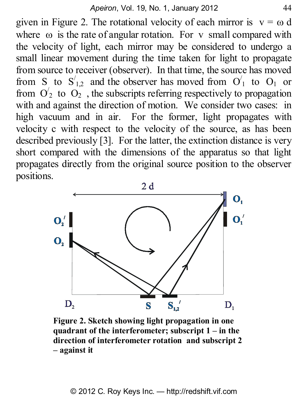given in Figure 2. The rotational velocity of each mirror is  $v = \omega d$ where  $\omega$  is the rate of angular rotation. For v small compared with the velocity of light, each mirror may be considered to undergo a small linear movement during the time taken for light to propagate from source to receiver (observer). In that time, the source has moved from S to  $S'_{1,2}$  and the observer has moved from  $O'_1$  to  $O_1$  or from  $O'_2$  to  $O'_2$ , the subscripts referring respectively to propagation with and against the direction of motion. We consider two cases: in high vacuum and in air. For the former, light propagates with velocity c with respect to the velocity of the source, as has been described previously [3]. For the latter, the extinction distance is very short compared with the dimensions of the apparatus so that light propagates directly from the original source position to the observer positions.



**Figure 2. Sketch showing light propagation in one quadrant of the interferometer; subscript 1 – in the direction of interferometer rotation and subscript 2 – against it**

© 2012 C. Roy Keys Inc. — http://redshift.vif.com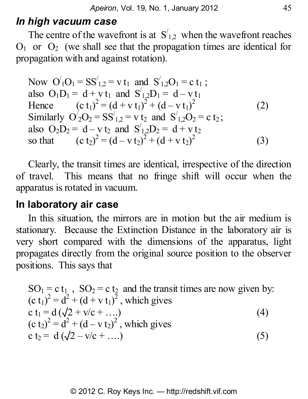#### *In high vacuum case*

The centre of the wavefront is at  $S'_{1,2}$  when the wavefront reaches  $O<sub>1</sub>$  or  $O<sub>2</sub>$  (we shall see that the propagation times are identical for propagation with and against rotation).

Now 
$$
O'_1O_1 = SS'_{1,2} = v t_1
$$
 and  $S'_{1,2}O_1 = c t_1$ ;  
also  $O_1D_1 = d + v t_1$  and  $S'_{1,2}D_1 = d - v t_1$   
Hence  $(c t_1)^2 = (d + v t_1)^2 + (d - v t_1)^2$   
Similarly  $O'_2O_2 = SS'_{1,2} = v t_2$  and  $S'_{1,2}O_2 = c t_2$ ;  
also  $O_2D_2 = d - v t_2$  and  $S'_{1,2}D_2 = d + v t_2$   
so that  $(c t_2)^2 = (d - v t_2)^2 + (d + v t_2)^2$  (3)

Clearly, the transit times are identical, irrespective of the direction of travel. This means that no fringe shift will occur when the apparatus is rotated in vacuum.

#### **In laboratory air case**

In this situation, the mirrors are in motion but the air medium is stationary. Because the Extinction Distance in the laboratory air is very short compared with the dimensions of the apparatus, light propagates directly from the original source position to the observer positions. This says that

SO<sub>1</sub> = c t<sub>1</sub>, SO<sub>2</sub> = c t<sub>2</sub> and the transit times are now given by:  
\n(c t<sub>1</sub>)<sup>2</sup> = d<sup>2</sup> + (d + v t<sub>1</sub>)<sup>2</sup>, which gives  
\nc t<sub>1</sub> = d(
$$
\sqrt{2}
$$
 + v/c + ....)  
\n(c t<sub>2</sub>)<sup>2</sup> = d<sup>2</sup> + (d - v t<sub>2</sub>)<sup>2</sup>, which gives  
\nc t<sub>2</sub> = d( $\sqrt{2}$  - v/c + ....) (5)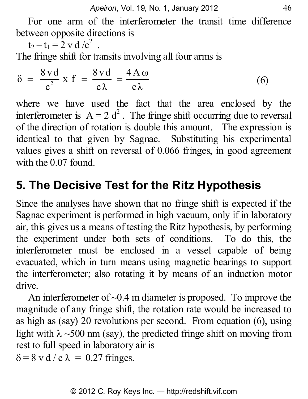For one arm of the interferometer the transit time difference between opposite directions is

 $t_2 - t_1 = 2 v d/c^2$ .

The fringe shift for transits involving all four arms is

$$
\delta = \frac{8 \text{ v d}}{c^2} \times f = \frac{8 \text{ v d}}{c \lambda} = \frac{4 \text{ A} \omega}{c \lambda}
$$
 (6)

where we have used the fact that the area enclosed by the interferometer is  $A = 2 d^2$ . The fringe shift occurring due to reversal of the direction of rotation is double this amount. The expression is identical to that given by Sagnac. Substituting his experimental values gives a shift on reversal of 0.066 fringes, in good agreement with the 0.07 found.

### **5. The Decisive Test for the Ritz Hypothesis**

Since the analyses have shown that no fringe shift is expected if the Sagnac experiment is performed in high vacuum, only if in laboratory air, this gives us a means of testing the Ritz hypothesis, by performing the experiment under both sets of conditions. To do this, the interferometer must be enclosed in a vessel capable of being evacuated, which in turn means using magnetic bearings to support the interferometer; also rotating it by means of an induction motor drive.

An interferometer of  $\sim 0.4$  m diameter is proposed. To improve the magnitude of any fringe shift, the rotation rate would be increased to as high as (say) 20 revolutions per second. From equation (6), using light with  $\lambda \sim 500$  nm (say), the predicted fringe shift on moving from rest to full speed in laboratory air is

 $\delta$  = 8 v d / c  $\lambda$  = 0.27 fringes.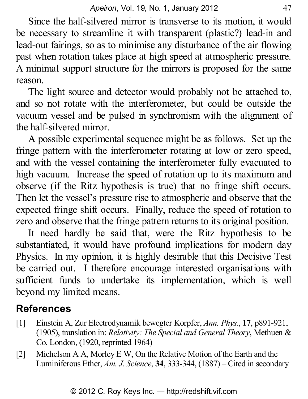Since the half-silvered mirror is transverse to its motion, it would be necessary to streamline it with transparent (plastic?) lead-in and lead-out fairings, so as to minimise any disturbance of the air flowing past when rotation takes place at high speed at atmospheric pressure. A minimal support structure for the mirrors is proposed for the same reason.

The light source and detector would probably not be attached to, and so not rotate with the interferometer, but could be outside the vacuum vessel and be pulsed in synchronism with the alignment of the half-silvered mirror.

A possible experimental sequence might be as follows. Set up the fringe pattern with the interferometer rotating at low or zero speed, and with the vessel containing the interferometer fully evacuated to high vacuum. Increase the speed of rotation up to its maximum and observe (if the Ritz hypothesis is true) that no fringe shift occurs. Then let the vessel's pressure rise to atmospheric and observe that the expected fringe shift occurs. Finally, reduce the speed of rotation to zero and observe that the fringe pattern returns to its original position.

It need hardly be said that, were the Ritz hypothesis to be substantiated, it would have profound implications for modern day Physics. In my opinion, it is highly desirable that this Decisive Test be carried out. I therefore encourage interested organisations with sufficient funds to undertake its implementation, which is well beyond my limited means.

### **References**

- [1] Einstein A, Zur Electrodynamik bewegter Korpfer, *Ann. Phys*., **17**, p891-921, (1905), translation in: *Relativity: The Special and General Theory*, Methuen & Co, London, (1920, reprinted 1964)
- [2] Michelson A A, Morley E W, On the Relative Motion of the Earth and the Luminiferous Ether, *Am. J. Science*, **34**, 333-344, (1887) – Cited in secondary